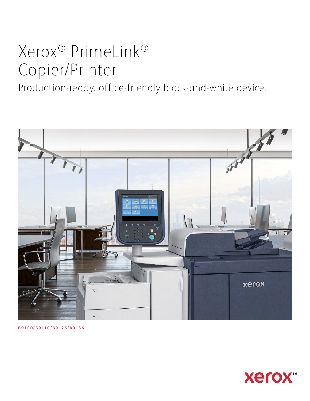# Xerox® PrimeLink® Copier/Printer

Production-ready, office-friendly black-and-white device.



**B9100/B9110/B9125/B9136**

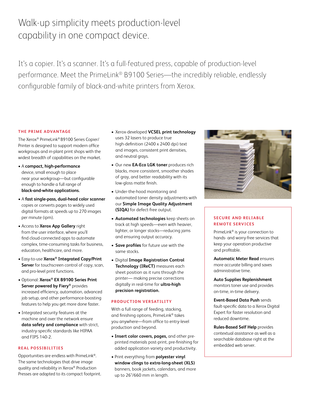# Walk-up simplicity meets production-level capability in one compact device.

It's a copier. It's a scanner. It's a full-featured press, capable of production-level performance. Meet the PrimeLink® B9100 Series—the incredibly reliable, endlessly configurable family of black-and-white printers from Xerox.

# **THE PRIME ADVANTAGE**

The Xerox® PrimeLink® B9100 Series Copier/ Printer is designed to support modern office workgroups and in-plant print shops with the widest breadth of capabilities on the market.

- A **compact, high-performance** device, small enough to place near your workgroup—but configurable enough to handle a full range of **black-and-white applications.**
- A **fast single-pass, dual-head color scanner** copies or converts pages to widely used digital formats at speeds up to 270 images per minute (ipm).
- Access to **Xerox App Gallery** right from the user interface, where you'll find cloud-connected apps to automate complex, time-consuming tasks for business, education, healthcare, and more.
- Easy-to-use **Xerox® Integrated Copy/Print Server** for touchscreen control of copy, scan, and pro-level print functions.
- Optional: **Xerox® EX B9100 Series Print Server powered by Fiery®** provides increased efficiency, automation, advanced job setup, and other performance-boosting features to help you get more done faster.
- Integrated security features at the machine and over the network ensure **data safety and compliance** with strict, industry-specific standards like HIPAA and FIPS 140-2.

# **REAL POSSIBILITIES**

Opportunities are endless with PrimeLink®. The same technologies that drive image quality and reliability in Xerox® Production Presses are adapted to its compact footprint.

- Xerox-developed **VCSEL print technology** uses 32 lasers to produce true high-definition (2400 x 2400 dpi) text and images, consistent print densities, and neutral grays.
- Our new **EA-Eco LGK toner** produces rich blacks, more consistent, smoother shades of gray, and better readability with its low-gloss matte finish.
- Under-the-hood monitoring and automated toner density adjustments with our **Simple Image Quality Adjustment (SIQA)** for defect-free output.
- **Automated technologies** keep sheets on track at high speeds—even with heavier, lighter, or longer stocks—reducing jams and ensuring output accuracy.
- **Save profiles** for future use with the same stocks.
- Digital **Image Registration Control Technology (IReCT)** measures each sheet position as it runs through the printer— making precise corrections digitally in real-time for **ultra-high precision registration.**

#### **PRODUCTION VERSATILITY**

With a full range of feeding, stacking, and finishing options, PrimeLink® takes you anywhere—from office to entry-level production and beyond.

- **Insert color covers, pages,** and other preprinted materials post-print, pre-finishing for added application variety and productivity.
- Print everything from **polyester vinyl window clings to extra-long-sheet (XLS)** banners, book jackets, calendars, and more up to 26"/660 mm in length.



## **SECURE AND RELIABLE REMOTE SERVICES**

PrimeLink® is your connection to hands- and worry-free services that keep your operation productive and profitable.

**Automatic Meter Read** ensures more accurate billing and saves administrative time.

**Auto Supplies Replenishment** monitors toner use and provides on-time, in-time delivery.

**Event-Based Data Push** sends fault-specific data to a Xerox Digital Expert for faster resolution and reduced downtime.

**Rules-Based Self Help** provides contextual assistance as well as a searchable database right at the embedded web server.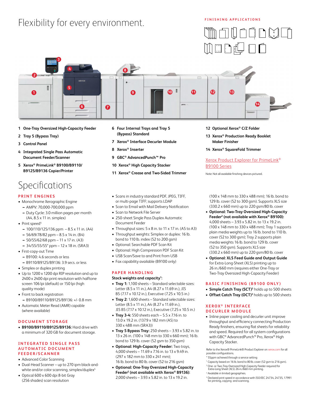# Flexibility for every environment.

# **FINISHING APPLICATIONS**





- **1 One-Tray Oversized High-Capacity Feeder**
- **2 Tray 5 (Bypass Tray)**
- **3 Control Panel**
- **4 Integrated Single Pass Automatic Document Feeder/Scanner**
- **5 Xerox® PrimeLink® B9100/B9110/ B9125/B9136 Copier/Printer**

# Specifications

# **PRINT ENGINES**

- **•** Monochrome Xerographic Engine
	- **–** AMPV: 70,000-700,000 ppm
	- **–** Duty Cycle: 3.0 million pages per month (A4, 8.5 x 11 in. simplex)
- Print speed<sup>4</sup>
	- **–** 100/110/125/136 ppm 8.5 x 11 in. (A4)
	- **–** 56/69/78/82 ppm 8.5 x 14 in. (B4)
	- **–** 50/55/62/68 ppm 11 x 17 in. (A3)
	- **–** 34/55/55/55\* ppm 12 x 18 in. (SRA3)
- **•** First-copy-out Time
	- **–** B9100: 4.6 seconds or less
	- **–** B9110/B9125/B9136: 3.9 secs. or less
- **•** Simplex or duplex printing
- **•** Up to 1200 x 1200 dpi RIP resolution and up to 2400 x 2400 dpi print resolution with halftone screen 106 lpi (default) or 150 lpi (high quality mode)
- **•** Front to back registration **–** B9100/B9110/B9125/B9136: +/- 0.8 mm
- **•** Automatic Meter Read (AMR) capable (where available)

#### **DOCUMENT STORAGE**

**• B9100/B9110/B9125/B9136:** Hard drive with a minimum of 320 GB for document storage.

#### **INTEGRATED SINGLE PASS AUTOMATIC DOCUMENT F E E D E R / S C A N N E R**

- **•** Advanced Color Scanning
- **•** Dual-Head Scanner up to 270 ipm black-andwhite and/or color scanning, simplex/duplex<sup>4</sup>
- **•** Optical 600 x 600 dpi 8-bit Gray (256 shades) scan resolution
- **6 Four Internal Trays and Tray 5 (Bypass) Standard**
- **7 Xerox® Interface Decurler Module**
- **8 Xerox® Inserter**
- **9 GBC® AdvancedPunch™ Pro**
- **10 Xerox® High Capacity Stacker**
- **11 Xerox® Crease and Two-Sided Trimmer**
- **•** Scans in industry standard PDF, JPEG, TIFF, or multi-page TIFF; supports LDAP
- **•** Scan to Email with Mail Delivery Notification
- **•** Scan to Network File Server
- **•** 250-sheet Single Pass Duplex Automatic Document Feeder
- **•** Throughput sizes: 5 x 8 in. to 11 x 17 in. (A5 to A3)
- **•** Throughput weights: Simplex or duplex: 16 lb. bond to 110 lb. index (52 to 200 gsm)
- **•** Optional: Searchable PDF Scan Kit
- **•** Optional: High Compression PDF Scan Kit
- **•** USB Scan/Save to and Print from USB
- **•** Fax capability available (B9100 only)

#### **PAPER HANDLING**

#### **Stock weights and capacity1 :**

- **• Tray 1:** 1,100 sheets Standard selectable sizes: Letter (8.5 x 11 in.), A4 (8.27 x 11.69 in.), JIS B5 (7.17 x 10.12 in.), Executive (7.25 x 10.5 in.)
- **• Tray 2:** 1,600 sheets Standard selectable sizes: Letter (8.5 x 11 in.), A4 (8.27 x 11.69 in.), JIS B5 (7.17 x 10.12 in.), Executive (7.25 x 10.5 in.)
- **• Tray 3-4:** 550 sheets each 5.5 x 7.16 in. to 13.0 x 19.2 in. (137.9 x 182 mm (A5) to 330 x 488 mm (SRA3))
- **• Tray 5 Bypass Tray:** 250 sheets 3.93 x 5.82 in. to 13 x 26 in. (100 x 148 mm to 330 x 660 mm); 16 lb. bond to 129 lb. cover (52 gsm to 350 gsm)
- **• Optional: High-Capacity Feeder:** Two trays, 4,000 sheets – 11.69 x 7.16 in. to 13 x 9.49 in. (297 x 182 mm to 330 x 241 mm); 16 lb. bond to 80 lb. cover (52 to 216 gsm)
- **• Optional: One-Tray Oversized High-Capacity Feeder2 (not available with Xerox® B9136):**  2,000 sheets – 3.93 x 5.82 in. to 13 x 19.2 in.
- **12 Optional Xerox® C/Z Folder**
- **13 Xerox® Production Ready Booklet Maker Finisher**
- **14 Xerox® SquareFold Trimmer**

# [Xerox Product Explorer for PrimeLink®](https://explorexeroxproducts.com/Product/Index/PLB91XX_XPE?Language=en-US&Region=NARS) [B9100 Series](https://explorexeroxproducts.com/Product/Index/PLB91XX_XPE?Language=en-US&Region=NARS)

Note: Not all available finishing devices pictured.

(100 x 148 mm to 330 x 488 mm); 16 lb. bond to 129 lb. cover (52 to 300 gsm). Supports XLS size (330.2 x 660 mm) up to 220 gsm/80 lb. cover

- **• Optional: Two-Tray Oversized High-Capacity Feeder2 (not available with Xerox® B9100):** 4,000 sheets – 3.93 x 5.82 in. to 13 x 19.2 in. (100 x 148 mm to 330 x 488 mm); Tray 1 supports plain media weights up to 16 lb. bond to 110 lb. cover (52 to 300 gsm); Tray 2 supports plain media weights 16 lb. bond to 129 lb. cover (52 to 350 gsm). Supports XLS size (330.2 x 660 mm) up to 220 gsm/80 lb. cover
- **• Optional: XLS Feed Guide and Output Guide**  for Extra-Long-Sheet (XLS) printing up to 26 in./660 mm (requires either One-Tray or Two-Tray Oversized High-Capacity Feeder)

## **BASIC FINISHING (B9100 ONLY)**

- **• Simple Catch Tray (SCT)3** holds up to 500 sheets
- Offset Catch Tray (OCT)<sup>3</sup> holds up to 500 sheets

#### **XEROX ® I N T E R FA C E DECURLER MODULE**

**•** Inline paper cooling and decurler unit improve throughput and efficiency connecting Production Ready finishers, ensuring flat sheets for reliability and speed. Required for all system configurations with GBC® AdvancedPunch™ Pro, Xerox® High Capacity Stacker.

Refer to the Xerox® PrimeLink® Product Explorer on [xerox.com](http://www.xerox.com) for all possible configurations.

- \* 55ppm achieved through a service setting
- 1 Capacity based on 16 lb. bond to 80 lb. cover (52 gsm to 216 gsm).
- 2 One- or Two-Tray Oversized High-Capacity Feeder required for Extra-Long-Sheet (XLS) 26 in./660 mm printing.
- <sup>3</sup> Available in limited geographies.
- 4 Declared print speed in accordance with ISO/IEC 24734, 24735, 17991 for printing, copying and scanning.